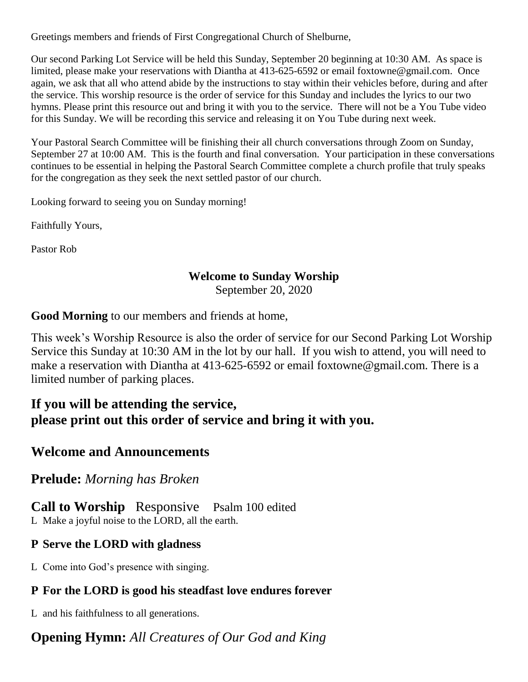Greetings members and friends of First Congregational Church of Shelburne,

Our second Parking Lot Service will be held this Sunday, September 20 beginning at 10:30 AM. As space is limited, please make your reservations with Diantha at 413-625-6592 or email foxtowne@gmail.com. Once again, we ask that all who attend abide by the instructions to stay within their vehicles before, during and after the service. This worship resource is the order of service for this Sunday and includes the lyrics to our two hymns. Please print this resource out and bring it with you to the service. There will not be a You Tube video for this Sunday. We will be recording this service and releasing it on You Tube during next week.

Your Pastoral Search Committee will be finishing their all church conversations through Zoom on Sunday, September 27 at 10:00 AM. This is the fourth and final conversation. Your participation in these conversations continues to be essential in helping the Pastoral Search Committee complete a church profile that truly speaks for the congregation as they seek the next settled pastor of our church.

Looking forward to seeing you on Sunday morning!

Faithfully Yours,

Pastor Rob

### **Welcome to Sunday Worship**

September 20, 2020

**Good Morning** to our members and friends at home,

This week's Worship Resource is also the order of service for our Second Parking Lot Worship Service this Sunday at 10:30 AM in the lot by our hall. If you wish to attend, you will need to make a reservation with Diantha at 413-625-6592 or email foxtowne@gmail.com. There is a limited number of parking places.

## **If you will be attending the service, please print out this order of service and bring it with you.**

### **Welcome and Announcements**

### **Prelude:** *Morning has Broken*

**Call to Worship** ResponsivePsalm 100 edited L Make a joyful noise to the LORD, all the earth.

### **P Serve the LORD with gladness**

L Come into God's presence with singing.

# **P For the LORD is good his steadfast love endures forever**

L and his faithfulness to all generations.

# **Opening Hymn:** *All Creatures of Our God and King*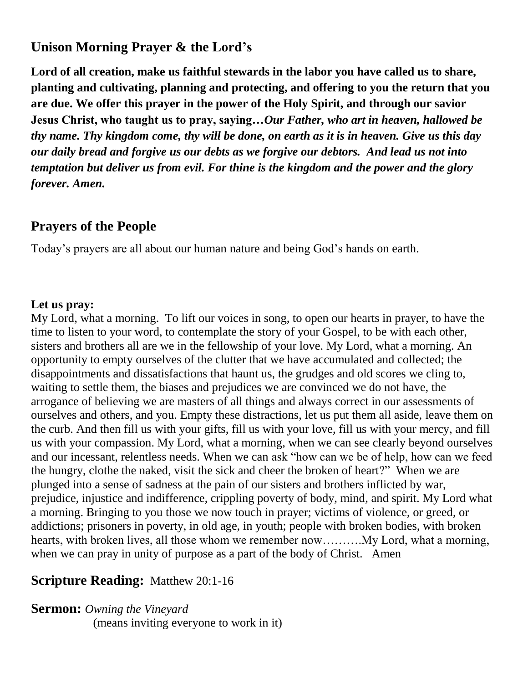## **Unison Morning Prayer & the Lord's**

**Lord of all creation, make us faithful stewards in the labor you have called us to share, planting and cultivating, planning and protecting, and offering to you the return that you are due. We offer this prayer in the power of the Holy Spirit, and through our savior Jesus Christ, who taught us to pray, saying…***Our Father, who art in heaven, hallowed be thy name. Thy kingdom come, thy will be done, on earth as it is in heaven. Give us this day our daily bread and forgive us our debts as we forgive our debtors. And lead us not into temptation but deliver us from evil. For thine is the kingdom and the power and the glory forever. Amen.*

### **Prayers of the People**

Today's prayers are all about our human nature and being God's hands on earth.

### **Let us pray:**

My Lord, what a morning. To lift our voices in song, to open our hearts in prayer, to have the time to listen to your word, to contemplate the story of your Gospel, to be with each other, sisters and brothers all are we in the fellowship of your love. My Lord, what a morning. An opportunity to empty ourselves of the clutter that we have accumulated and collected; the disappointments and dissatisfactions that haunt us, the grudges and old scores we cling to, waiting to settle them, the biases and prejudices we are convinced we do not have, the arrogance of believing we are masters of all things and always correct in our assessments of ourselves and others, and you. Empty these distractions, let us put them all aside, leave them on the curb. And then fill us with your gifts, fill us with your love, fill us with your mercy, and fill us with your compassion. My Lord, what a morning, when we can see clearly beyond ourselves and our incessant, relentless needs. When we can ask "how can we be of help, how can we feed the hungry, clothe the naked, visit the sick and cheer the broken of heart?" When we are plunged into a sense of sadness at the pain of our sisters and brothers inflicted by war, prejudice, injustice and indifference, crippling poverty of body, mind, and spirit. My Lord what a morning. Bringing to you those we now touch in prayer; victims of violence, or greed, or addictions; prisoners in poverty, in old age, in youth; people with broken bodies, with broken hearts, with broken lives, all those whom we remember now……….My Lord, what a morning, when we can pray in unity of purpose as a part of the body of Christ. Amen

## **Scripture Reading:** Matthew 20:1-16

**Sermon:** *Owning the Vineyard*

(means inviting everyone to work in it)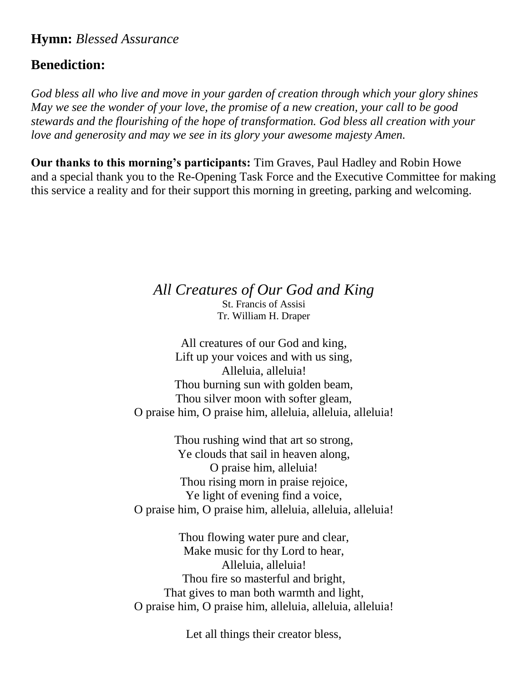## **Hymn:** *Blessed Assurance*

## **Benediction:**

*God bless all who live and move in your garden of creation through which your glory shines May we see the wonder of your love, the promise of a new creation, your call to be good stewards and the flourishing of the hope of transformation. God bless all creation with your love and generosity and may we see in its glory your awesome majesty Amen.*

**Our thanks to this morning's participants:** Tim Graves, Paul Hadley and Robin Howe and a special thank you to the Re-Opening Task Force and the Executive Committee for making this service a reality and for their support this morning in greeting, parking and welcoming.

> *All Creatures of Our God and King* St. Francis of Assisi

Tr. William H. Draper

All creatures of our God and king, Lift up your voices and with us sing, Alleluia, alleluia! Thou burning sun with golden beam, Thou silver moon with softer gleam, O praise him, O praise him, alleluia, alleluia, alleluia!

Thou rushing wind that art so strong, Ye clouds that sail in heaven along, O praise him, alleluia! Thou rising morn in praise rejoice, Ye light of evening find a voice, O praise him, O praise him, alleluia, alleluia, alleluia!

Thou flowing water pure and clear, Make music for thy Lord to hear, Alleluia, alleluia! Thou fire so masterful and bright, That gives to man both warmth and light, O praise him, O praise him, alleluia, alleluia, alleluia!

Let all things their creator bless,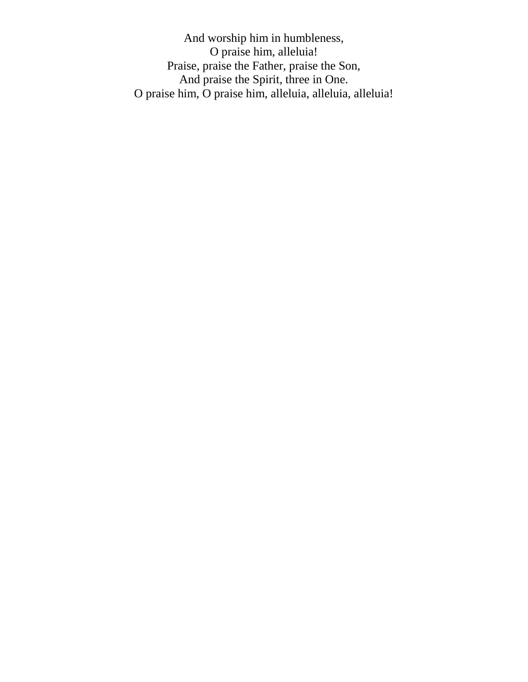And worship him in humbleness, O praise him, alleluia! Praise, praise the Father, praise the Son, And praise the Spirit, three in One. O praise him, O praise him, alleluia, alleluia, alleluia!